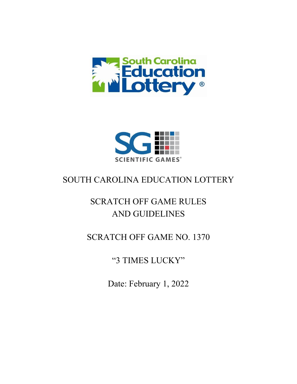



## SOUTH CAROLINA EDUCATION LOTTERY

# SCRATCH OFF GAME RULES AND GUIDELINES

### SCRATCH OFF GAME NO. 1370

"3 TIMES LUCKY"

Date: February 1, 2022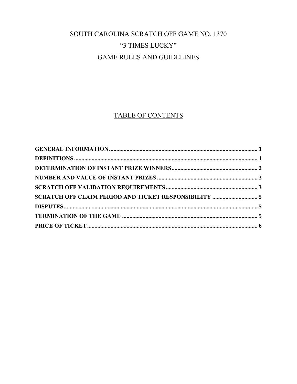## SOUTH CAROLINA SCRATCH OFF GAME NO. 1370 "3 TIMES LUCKY" **GAME RULES AND GUIDELINES**

### **TABLE OF CONTENTS**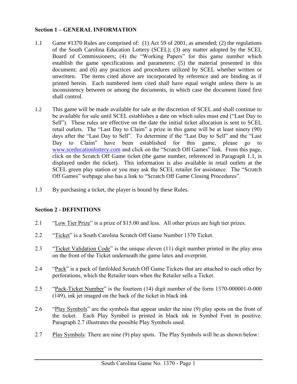#### <span id="page-2-0"></span>**Section 1 – GENERAL INFORMATION**

- 1.1 Game #1370 Rules are comprised of: (1) Act 59 of 2001, as amended; (2) the regulations of the South Carolina Education Lottery (SCEL); (3) any matter adopted by the SCEL Board of Commissioners; (4) the "Working Papers" for this game number which establish the game specifications and parameters; (5) the material presented in this document; and (6) any practices and procedures utilized by SCEL whether written or unwritten. The items cited above are incorporated by reference and are binding as if printed herein. Each numbered item cited shall have equal weight unless there is an inconsistency between or among the documents, in which case the document listed first shall control.
- 1.2 This game will be made available for sale at the discretion of SCEL and shall continue to be available for sale until SCEL establishes a date on which sales must end ("Last Day to Sell"). These rules are effective on the date the initial ticket allocation is sent to SCEL retail outlets. The "Last Day to Claim" a prize in this game will be at least ninety (90) days after the "Last Day to Sell". To determine if the "Last Day to Sell" and the "Last Day to Claim" have been established for this game, please go to [www.sceducationlottery.com](http://www.sceducationlottery.com/) and click on the "Scratch Off Games" link. From this page, click on the Scratch Off Game ticket (the game number, referenced in Paragraph 1.1, is displayed under the ticket). This information is also available in retail outlets at the SCEL green play station or you may ask the SCEL retailer for assistance. The "Scratch Off Games" webpage also has a link to "Scratch Off Game Closing Procedures".
- 1.3 By purchasing a ticket, the player is bound by these Rules.

#### <span id="page-2-1"></span>**Section 2 - DEFINITIONS**

- 2.1 "Low Tier Prize" is a prize of \$15.00 and less. All other prizes are high tier prizes.
- 2.2 "Ticket" is a South Carolina Scratch Off Game Number 1370 Ticket.
- 2.3 "Ticket Validation Code" is the unique eleven (11) digit number printed in the play area on the front of the Ticket underneath the game latex and overprint.
- 2.4 "Pack" is a pack of fanfolded Scratch Off Game Tickets that are attached to each other by perforations, which the Retailer tears when the Retailer sells a Ticket.
- 2.5 "Pack-Ticket Number" is the fourteen (14) digit number of the form 1370-000001-0-000 (149), ink jet imaged on the back of the ticket in black ink
- 2.6 "Play Symbols" are the symbols that appear under the nine (9) play spots on the front of the ticket. Each Play Symbol is printed in black ink in Symbol Font in positive. Paragraph 2.7 illustrates the possible Play Symbols used.
- 2.7 Play Symbols: There are nine (9) play spots. The Play Symbols will be as shown below: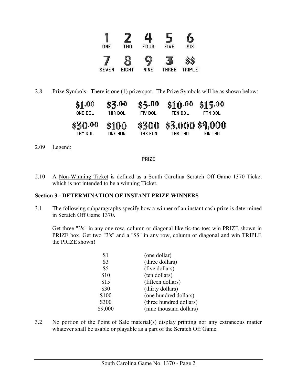

2.8 Prize Symbols: There is one (1) prize spot. The Prize Symbols will be as shown below:

| \$1.00  | \$3.00         | \$5,00  | \$10.00         | \$15.00 |
|---------|----------------|---------|-----------------|---------|
| ONE DOL | THR DOL        | FIV DOL | TEN DOL         | FTN DOL |
| \$30.00 | \$100          | \$300   | \$3,000 \$9,000 |         |
| TRY DOL | <b>ONE HUN</b> | THR HUN | THR THO         | NIN THO |

2.09 Legend:

#### <span id="page-3-0"></span>PRIZE

2.10 A Non-Winning Ticket is defined as a South Carolina Scratch Off Game 1370 Ticket which is not intended to be a winning Ticket.

#### **Section 3 - DETERMINATION OF INSTANT PRIZE WINNERS**

3.1 The following subparagraphs specify how a winner of an instant cash prize is determined in Scratch Off Game 1370.

Get three "3's" in any one row, column or diagonal like tic-tac-toe; win PRIZE shown in PRIZE box. Get two "3's" and a "\$\$" in any row, column or diagonal and win TRIPLE the PRIZE shown!

| \$1     | (one dollar)            |
|---------|-------------------------|
| \$3     | (three dollars)         |
| \$5     | (five dollars)          |
| \$10    | (ten dollars)           |
| \$15    | (fifteen dollars)       |
| \$30    | (thirty dollars)        |
| \$100   | (one hundred dollars)   |
| \$300   | (three hundred dollars) |
| \$9,000 | (nine thousand dollars) |

3.2 No portion of the Point of Sale material(s) display printing nor any extraneous matter whatever shall be usable or playable as a part of the Scratch Off Game.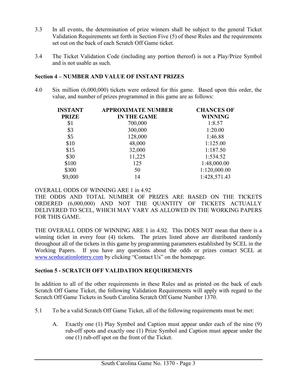- 3.3 In all events, the determination of prize winners shall be subject to the general Ticket Validation Requirements set forth in Section Five (5) of these Rules and the requirements set out on the back of each Scratch Off Game ticket.
- 3.4 The Ticket Validation Code (including any portion thereof) is not a Play/Prize Symbol and is not usable as such.

#### **Section 4 – NUMBER AND VALUE OF INSTANT PRIZES**

4.0 Six million (6,000,000) tickets were ordered for this game. Based upon this order, the value, and number of prizes programmed in this game are as follows:

<span id="page-4-0"></span>

| <b>INSTANT</b> | <b>APPROXIMATE NUMBER</b> | <b>CHANCES OF</b> |  |
|----------------|---------------------------|-------------------|--|
| <b>PRIZE</b>   | <b>IN THE GAME</b>        | <b>WINNING</b>    |  |
| \$1            | 700,000                   | 1:8.57            |  |
| \$3            | 300,000                   | 1:20.00           |  |
| \$5            | 128,000                   | 1:46.88           |  |
| \$10           | 48,000                    | 1:125.00          |  |
| \$15           | 32,000                    | 1:187.50          |  |
| \$30           | 11,225                    | 1:534.52          |  |
| \$100          | 125                       | 1:48,000.00       |  |
| \$300          | 50                        | 1:120,000.00      |  |
| \$9,000        | 14                        | 1:428,571.43      |  |

OVERALL ODDS OF WINNING ARE 1 in 4.92

THE ODDS AND TOTAL NUMBER OF PRIZES ARE BASED ON THE TICKETS ORDERED (6,000,000) AND NOT THE QUANTITY OF TICKETS ACTUALLY DELIVERED TO SCEL, WHICH MAY VARY AS ALLOWED IN THE WORKING PAPERS FOR THIS GAME.

THE OVERALL ODDS OF WINNING ARE 1 in 4.92. This DOES NOT mean that there is a winning ticket in every four (4) tickets. The prizes listed above are distributed randomly throughout all of the tickets in this game by programming parameters established by SCEL in the Working Papers. If you have any questions about the odds or prizes contact SCEL at [www.sceducationlottery.com](http://www.sceducationlottery.com/) by clicking "Contact Us" on the homepage.

#### <span id="page-4-1"></span>**Section 5 - SCRATCH OFF VALIDATION REQUIREMENTS**

In addition to all of the other requirements in these Rules and as printed on the back of each Scratch Off Game Ticket, the following Validation Requirements will apply with regard to the Scratch Off Game Tickets in South Carolina Scratch Off Game Number 1370.

- 5.1 To be a valid Scratch Off Game Ticket, all of the following requirements must be met:
	- A. Exactly one (1) Play Symbol and Caption must appear under each of the nine (9) rub-off spots and exactly one (1) Prize Symbol and Caption must appear under the one (1) rub-off spot on the front of the Ticket.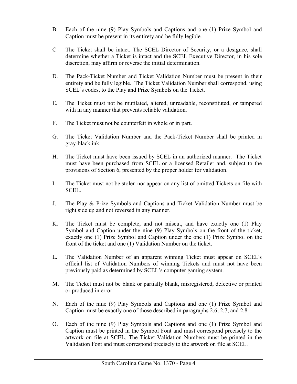- B. Each of the nine (9) Play Symbols and Captions and one (1) Prize Symbol and Caption must be present in its entirety and be fully legible.
- C The Ticket shall be intact. The SCEL Director of Security, or a designee, shall determine whether a Ticket is intact and the SCEL Executive Director, in his sole discretion, may affirm or reverse the initial determination.
- D. The Pack-Ticket Number and Ticket Validation Number must be present in their entirety and be fully legible. The Ticket Validation Number shall correspond, using SCEL's codes, to the Play and Prize Symbols on the Ticket.
- E. The Ticket must not be mutilated, altered, unreadable, reconstituted, or tampered with in any manner that prevents reliable validation.
- F. The Ticket must not be counterfeit in whole or in part.
- G. The Ticket Validation Number and the Pack-Ticket Number shall be printed in gray-black ink.
- H. The Ticket must have been issued by SCEL in an authorized manner. The Ticket must have been purchased from SCEL or a licensed Retailer and, subject to the provisions of Section 6, presented by the proper holder for validation.
- I. The Ticket must not be stolen nor appear on any list of omitted Tickets on file with SCEL.
- J. The Play & Prize Symbols and Captions and Ticket Validation Number must be right side up and not reversed in any manner.
- K. The Ticket must be complete, and not miscut, and have exactly one (1) Play Symbol and Caption under the nine (9) Play Symbols on the front of the ticket, exactly one (1) Prize Symbol and Caption under the one (1) Prize Symbol on the front of the ticket and one (1) Validation Number on the ticket.
- L. The Validation Number of an apparent winning Ticket must appear on SCEL's official list of Validation Numbers of winning Tickets and must not have been previously paid as determined by SCEL's computer gaming system.
- M. The Ticket must not be blank or partially blank, misregistered, defective or printed or produced in error.
- N. Each of the nine (9) Play Symbols and Captions and one (1) Prize Symbol and Caption must be exactly one of those described in paragraphs 2.6, 2.7, and 2.8
- O. Each of the nine (9) Play Symbols and Captions and one (1) Prize Symbol and Caption must be printed in the Symbol Font and must correspond precisely to the artwork on file at SCEL. The Ticket Validation Numbers must be printed in the Validation Font and must correspond precisely to the artwork on file at SCEL.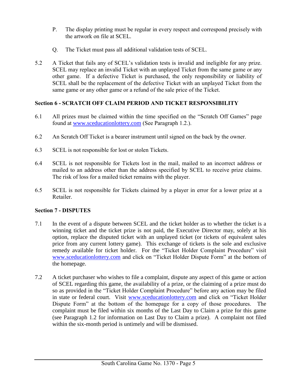- P. The display printing must be regular in every respect and correspond precisely with the artwork on file at SCEL.
- <span id="page-6-0"></span>Q. The Ticket must pass all additional validation tests of SCEL.
- 5.2 A Ticket that fails any of SCEL's validation tests is invalid and ineligible for any prize. SCEL may replace an invalid Ticket with an unplayed Ticket from the same game or any other game. If a defective Ticket is purchased, the only responsibility or liability of SCEL shall be the replacement of the defective Ticket with an unplayed Ticket from the same game or any other game or a refund of the sale price of the Ticket.

#### **Section 6 - SCRATCH OFF CLAIM PERIOD AND TICKET RESPONSIBILITY**

- 6.1 All prizes must be claimed within the time specified on the "Scratch Off Games" page found at [www.sceducationlottery.com](http://www.sceducationlottery.com/) (See Paragraph 1.2.).
- 6.2 An Scratch Off Ticket is a bearer instrument until signed on the back by the owner.
- 6.3 SCEL is not responsible for lost or stolen Tickets.
- 6.4 SCEL is not responsible for Tickets lost in the mail, mailed to an incorrect address or mailed to an address other than the address specified by SCEL to receive prize claims. The risk of loss for a mailed ticket remains with the player.
- 6.5 SCEL is not responsible for Tickets claimed by a player in error for a lower prize at a Retailer.

#### <span id="page-6-1"></span>**Section 7 - DISPUTES**

- 7.1 In the event of a dispute between SCEL and the ticket holder as to whether the ticket is a winning ticket and the ticket prize is not paid, the Executive Director may, solely at his option, replace the disputed ticket with an unplayed ticket (or tickets of equivalent sales price from any current lottery game). This exchange of tickets is the sole and exclusive remedy available for ticket holder. For the "Ticket Holder Complaint Procedure" visit [www.sceducationlottery.com](http://www.sceducationlottery.com/) and click on "Ticket Holder Dispute Form" at the bottom of the homepage.
- 7.2 A ticket purchaser who wishes to file a complaint, dispute any aspect of this game or action of SCEL regarding this game, the availability of a prize, or the claiming of a prize must do so as provided in the "Ticket Holder Complaint Procedure" before any action may be filed in state or federal court. Visit [www.sceducationlottery.com](http://www.sceducationlottery.com/) and click on "Ticket Holder Dispute Form" at the bottom of the homepage for a copy of those procedures. The complaint must be filed within six months of the Last Day to Claim a prize for this game (see Paragraph 1.2 for information on Last Day to Claim a prize). A complaint not filed within the six-month period is untimely and will be dismissed.